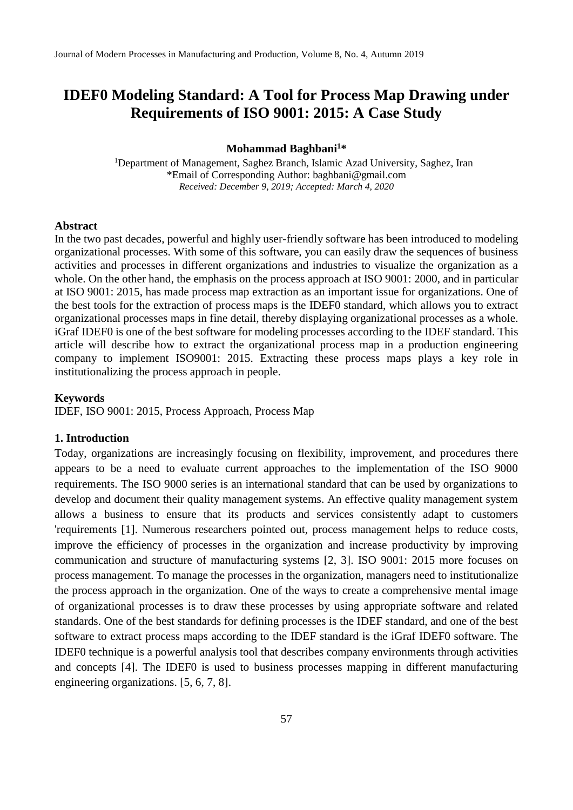# **IDEF0 Modeling Standard: A Tool for Process Map Drawing under Requirements of ISO 9001: 2015: A Case Study**

#### **Mohammad Baghbani<sup>1</sup>\***

<sup>1</sup>Department of Management, Saghez Branch, Islamic Azad University, Saghez, Iran \*Email of Corresponding Author: baghbani@gmail.com *Received: December 9, 2019; Accepted: March 4, 2020*

#### **Abstract**

In the two past decades, powerful and highly user-friendly software has been introduced to modeling organizational processes. With some of this software, you can easily draw the sequences of business activities and processes in different organizations and industries to visualize the organization as a whole. On the other hand, the emphasis on the process approach at ISO 9001: 2000, and in particular at ISO 9001: 2015, has made process map extraction as an important issue for organizations. One of the best tools for the extraction of process maps is the IDEF0 standard, which allows you to extract organizational processes maps in fine detail, thereby displaying organizational processes as a whole. iGraf IDEF0 is one of the best software for modeling processes according to the IDEF standard. This article will describe how to extract the organizational process map in a production engineering company to implement ISO9001: 2015. Extracting these process maps plays a key role in institutionalizing the process approach in people.

#### **Keywords**

IDEF, ISO 9001: 2015, Process Approach, Process Map

### **1. Introduction**

Today, organizations are increasingly focusing on flexibility, improvement, and procedures there appears to be a need to evaluate current approaches to the implementation of the ISO 9000 requirements. The ISO 9000 series is an international standard that can be used by organizations to develop and document their quality management systems. An effective quality management system allows a business to ensure that its products and services consistently adapt to customers 'requirements [1]. Numerous researchers pointed out, process management helps to reduce costs, improve the efficiency of processes in the organization and increase productivity by improving communication and structure of manufacturing systems [2, 3]. ISO 9001: 2015 more focuses on process management. To manage the processes in the organization, managers need to institutionalize the process approach in the organization. One of the ways to create a comprehensive mental image of organizational processes is to draw these processes by using appropriate software and related standards. One of the best standards for defining processes is the IDEF standard, and one of the best software to extract process maps according to the IDEF standard is the iGraf IDEF0 software. The IDEF0 technique is a powerful analysis tool that describes company environments through activities and concepts [4]. The IDEF0 is used to business processes mapping in different manufacturing engineering organizations. [5, 6, 7, 8].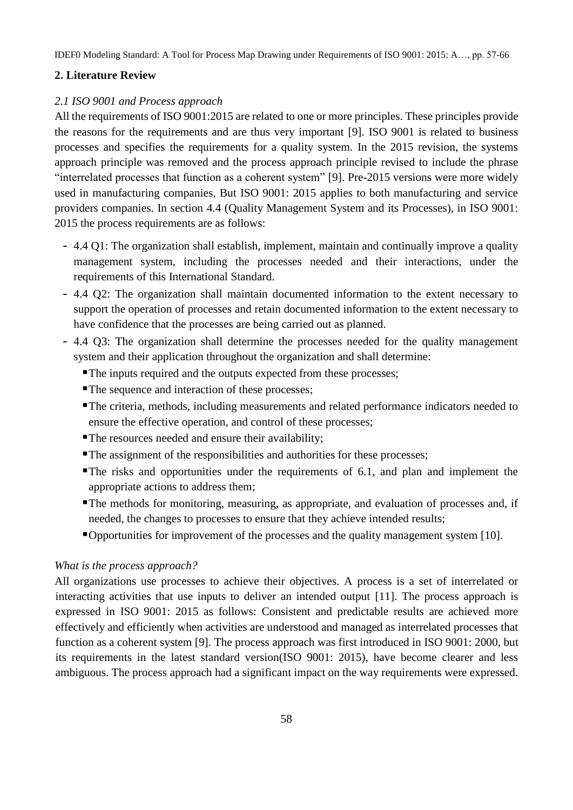IDEF0 Modeling Standard: A Tool for Process Map Drawing under Requirements of ISO 9001: 2015: A…, pp. 57-66

## **2. Literature Review**

# *2.1 ISO 9001 and Process approach*

All the requirements of ISO 9001:2015 are related to one or more principles. These principles provide the reasons for the requirements and are thus very important [9]. ISO 9001 is related to business processes and specifies the requirements for a quality system. In the 2015 revision, the systems approach principle was removed and the process approach principle revised to include the phrase "interrelated processes that function as a coherent system" [9]. Pre-2015 versions were more widely used in manufacturing companies, But ISO 9001: 2015 applies to both manufacturing and service providers companies. In section 4.4 (Quality Management System and its Processes), in ISO 9001: 2015 the process requirements are as follows:

- 4.4 Q1: The organization shall establish, implement, maintain and continually improve a quality management system, including the processes needed and their interactions, under the requirements of this International Standard.
- 4.4 Q2: The organization shall maintain documented information to the extent necessary to support the operation of processes and retain documented information to the extent necessary to have confidence that the processes are being carried out as planned.
- 4.4 Q3: The organization shall determine the processes needed for the quality management system and their application throughout the organization and shall determine:
	- The inputs required and the outputs expected from these processes;
	- The sequence and interaction of these processes;
	- The criteria, methods, including measurements and related performance indicators needed to ensure the effective operation, and control of these processes;
	- The resources needed and ensure their availability;
	- The assignment of the responsibilities and authorities for these processes;
	- The risks and opportunities under the requirements of 6.1, and plan and implement the appropriate actions to address them;
	- The methods for monitoring, measuring, as appropriate, and evaluation of processes and, if needed, the changes to processes to ensure that they achieve intended results;
	- Opportunities for improvement of the processes and the quality management system [10].

## *What is the process approach?*

All organizations use processes to achieve their objectives. A process is a set of interrelated or interacting activities that use inputs to deliver an intended output [11]. The process approach is expressed in ISO 9001: 2015 as follows: Consistent and predictable results are achieved more effectively and efficiently when activities are understood and managed as interrelated processes that function as a coherent system [9]. The process approach was first introduced in ISO 9001: 2000, but its requirements in the latest standard version(ISO 9001: 2015), have become clearer and less ambiguous. The process approach had a significant impact on the way requirements were expressed.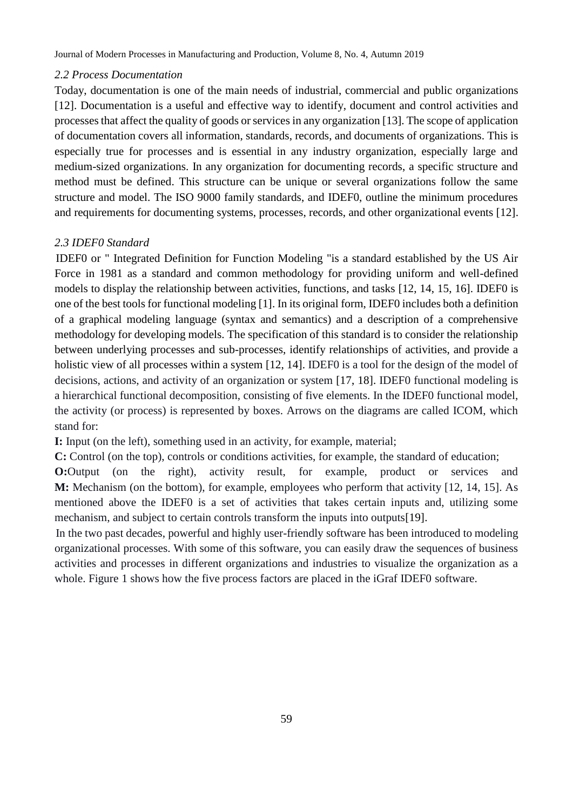# *2.2 Process Documentation*

Today, documentation is one of the main needs of industrial, commercial and public organizations [12]. Documentation is a useful and effective way to identify, document and control activities and processes that affect the quality of goods or services in any organization [13]. The scope of application of documentation covers all information, standards, records, and documents of organizations. This is especially true for processes and is essential in any industry organization, especially large and medium-sized organizations. In any organization for documenting records, a specific structure and method must be defined. This structure can be unique or several organizations follow the same structure and model. The ISO 9000 family standards, and IDEF0, outline the minimum procedures and requirements for documenting systems, processes, records, and other organizational events [12].

# *2.3 IDEF0 Standard*

IDEF0 or " Integrated Definition for Function Modeling "is a standard established by the US Air Force in 1981 as a standard and common methodology for providing uniform and well-defined models to display the relationship between activities, functions, and tasks [12, 14, 15, 16]. IDEF0 is one of the best tools for functional modeling [1]. In its original form, IDEF0 includes both a definition of a graphical modeling language (syntax and semantics) and a description of a comprehensive methodology for developing models. The specification of this standard is to consider the relationship between underlying processes and sub-processes, identify relationships of activities, and provide a holistic view of all processes within a system [12, 14]. IDEF0 is a tool for the design of the model of decisions, actions, and activity of an organization or system [17, 18]. IDEF0 functional modeling is a hierarchical functional decomposition, consisting of five elements. In the IDEF0 functional model, the activity (or process) is represented by boxes. Arrows on the diagrams are called ICOM, which stand for:

**I:** Input (on the left), something used in an activity, for example, material;

**C:** Control (on the top), controls or conditions activities, for example, the standard of education;

**O:**Output (on the right), activity result, for example, product or services and **M:** Mechanism (on the bottom), for example, employees who perform that activity [12, 14, 15]. As mentioned above the IDEF0 is a set of activities that takes certain inputs and, utilizing some mechanism, and subject to certain controls transform the inputs into outputs[19].

In the two past decades, powerful and highly user-friendly software has been introduced to modeling organizational processes. With some of this software, you can easily draw the sequences of business activities and processes in different organizations and industries to visualize the organization as a whole. Figure 1 shows how the five process factors are placed in the iGraf IDEF0 software.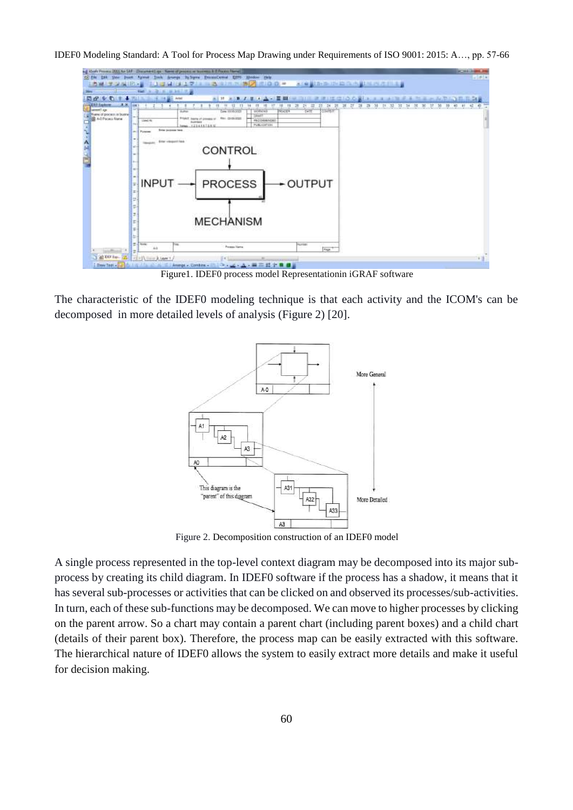IDEF0 Modeling Standard: A Tool for Process Map Drawing under Requirements of ISO 9001: 2015: A…, pp. 57-66



Figure1. IDEF0 process model Representationin iGRAF software

The characteristic of the IDEF0 modeling technique is that each activity and the ICOM's can be decomposed in more detailed levels of analysis (Figure 2) [20].



Figure 2. Decomposition construction of an IDEF0 model

A single process represented in the top-level context diagram may be decomposed into its major subprocess by creating its child diagram. In IDEF0 software if the process has a shadow, it means that it has several sub-processes or activities that can be clicked on and observed its processes/sub-activities. In turn, each of these sub-functions may be decomposed. We can move to higher processes by clicking on the parent arrow. So a chart may contain a parent chart (including parent boxes) and a child chart (details of their parent box). Therefore, the process map can be easily extracted with this software. The hierarchical nature of IDEF0 allows the system to easily extract more details and make it useful for decision making.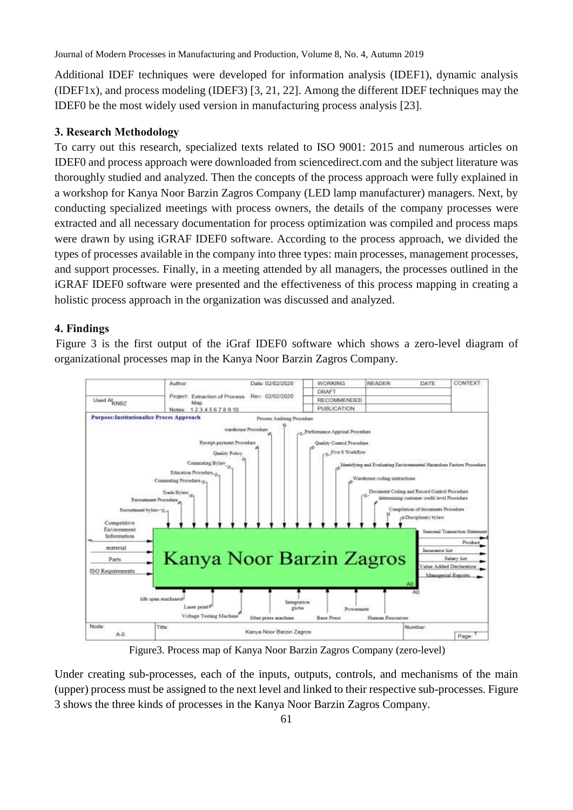Journal of Modern Processes in Manufacturing and Production, Volume 8, No. 4, Autumn 2019

Additional IDEF techniques were developed for information analysis (IDEF1), dynamic analysis (IDEF1x), and process modeling (IDEF3) [3, 21, 22]. Among the different IDEF techniques may the IDEF0 be the most widely used version in manufacturing process analysis [23].

# **3. Research Methodology**

To carry out this research, specialized texts related to ISO 9001: 2015 and numerous articles on IDEF0 and process approach were downloaded from sciencedirect.com and the subject literature was thoroughly studied and analyzed. Then the concepts of the process approach were fully explained in a workshop for Kanya Noor Barzin Zagros Company (LED lamp manufacturer) managers. Next, by conducting specialized meetings with process owners, the details of the company processes were extracted and all necessary documentation for process optimization was compiled and process maps were drawn by using iGRAF IDEF0 software. According to the process approach, we divided the types of processes available in the company into three types: main processes, management processes, and support processes. Finally, in a meeting attended by all managers, the processes outlined in the iGRAF IDEF0 software were presented and the effectiveness of this process mapping in creating a holistic process approach in the organization was discussed and analyzed.

# **4. Findings**

Figure 3 is the first output of the iGraf IDEF0 software which shows a zero-level diagram of organizational processes map in the Kanya Noor Barzin Zagros Company.



Figure3. Process map of Kanya Noor Barzin Zagros Company (zero-level)

Under creating sub-processes, each of the inputs, outputs, controls, and mechanisms of the main (upper) process must be assigned to the next level and linked to their respective sub-processes. Figure 3 shows the three kinds of processes in the Kanya Noor Barzin Zagros Company.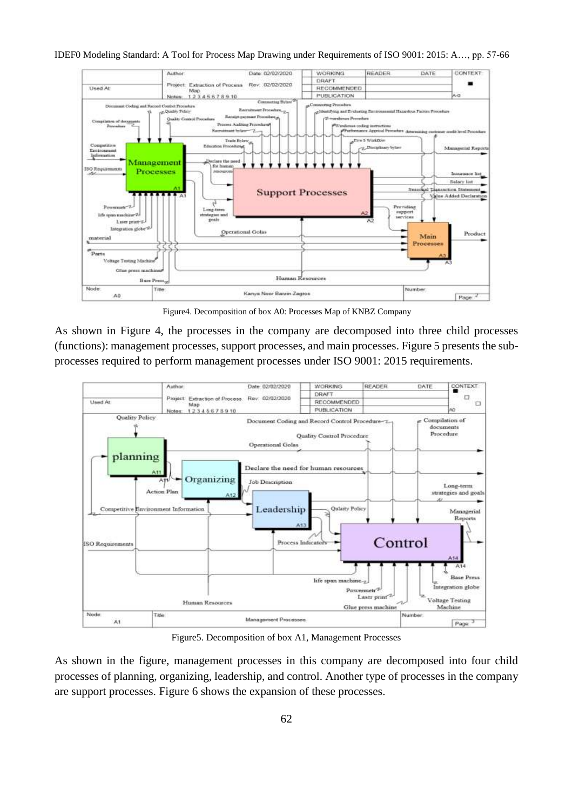

IDEF0 Modeling Standard: A Tool for Process Map Drawing under Requirements of ISO 9001: 2015: A…, pp. 57-66

Figure4. Decomposition of box A0: Processes Map of KNBZ Company

As shown in Figure 4, the processes in the company are decomposed into three child processes (functions): management processes, support processes, and main processes. Figure 5 presents the subprocesses required to perform management processes under ISO 9001: 2015 requirements.



Figure5. Decomposition of box A1, Management Processes

As shown in the figure, management processes in this company are decomposed into four child processes of planning, organizing, leadership, and control. Another type of processes in the company are support processes. Figure 6 shows the expansion of these processes.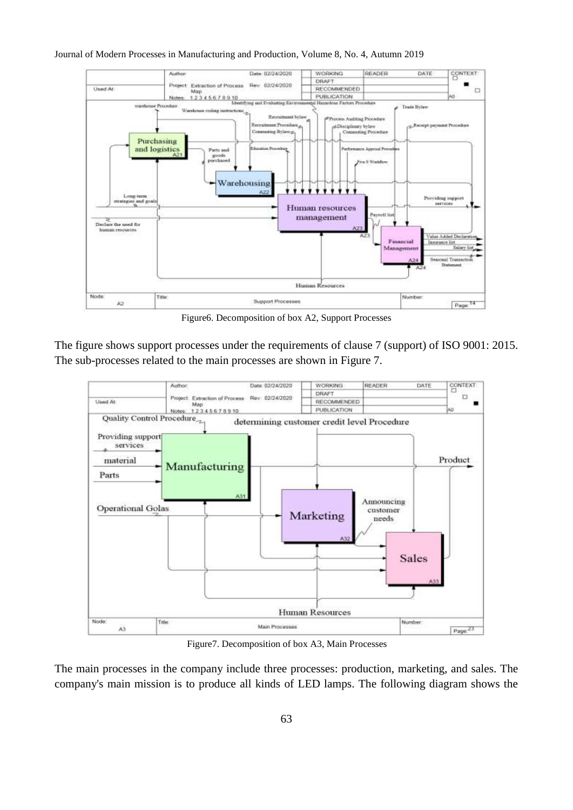



Figure6. Decomposition of box A2, Support Processes

The figure shows support processes under the requirements of clause 7 (support) of ISO 9001: 2015. The sub-processes related to the main processes are shown in Figure 7.



Figure7. Decomposition of box A3, Main Processes

The main processes in the company include three processes: production, marketing, and sales. The company's main mission is to produce all kinds of LED lamps. The following diagram shows the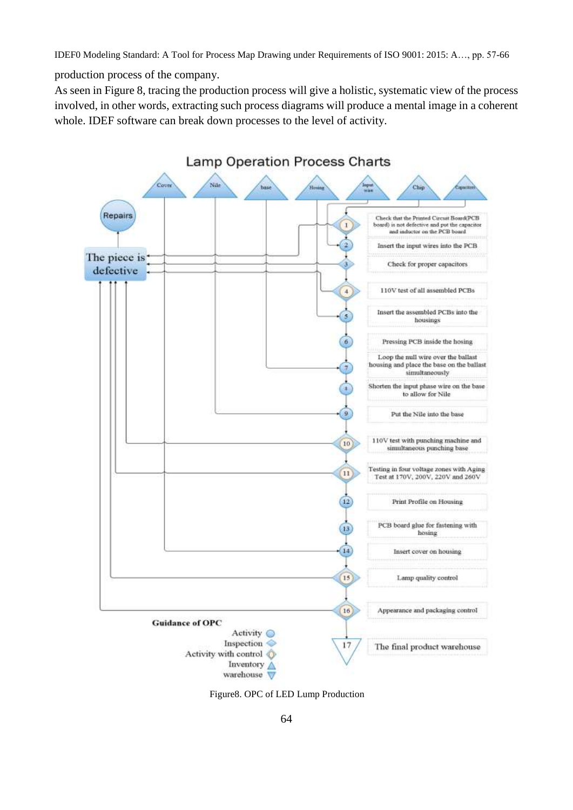IDEF0 Modeling Standard: A Tool for Process Map Drawing under Requirements of ISO 9001: 2015: A…, pp. 57-66

production process of the company.

As seen in Figure 8, tracing the production process will give a holistic, systematic view of the process involved, in other words, extracting such process diagrams will produce a mental image in a coherent whole. IDEF software can break down processes to the level of activity.



Figure8. OPC of LED Lump Production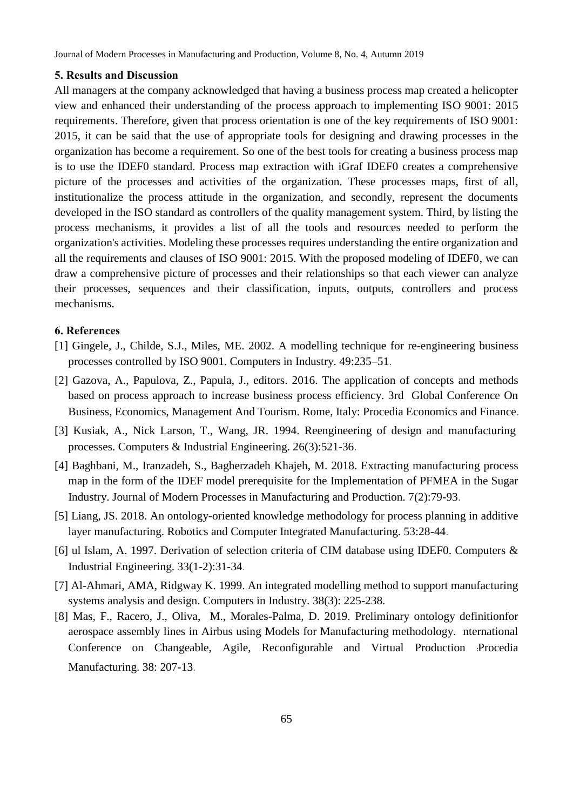Journal of Modern Processes in Manufacturing and Production, Volume 8, No. 4, Autumn 2019

#### **5. Results and Discussion**

All managers at the company acknowledged that having a business process map created a helicopter view and enhanced their understanding of the process approach to implementing ISO 9001: 2015 requirements. Therefore, given that process orientation is one of the key requirements of ISO 9001: 2015, it can be said that the use of appropriate tools for designing and drawing processes in the organization has become a requirement. So one of the best tools for creating a business process map is to use the IDEF0 standard. Process map extraction with iGraf IDEF0 creates a comprehensive picture of the processes and activities of the organization. These processes maps, first of all, institutionalize the process attitude in the organization, and secondly, represent the documents developed in the ISO standard as controllers of the quality management system. Third, by listing the process mechanisms, it provides a list of all the tools and resources needed to perform the organization's activities. Modeling these processes requires understanding the entire organization and all the requirements and clauses of ISO 9001: 2015. With the proposed modeling of IDEF0, we can draw a comprehensive picture of processes and their relationships so that each viewer can analyze their processes, sequences and their classification, inputs, outputs, controllers and process mechanisms.

#### **6. References**

- [1] Gingele, J., Childe, S.J., Miles, ME. 2002. A modelling technique for re-engineering business processes controlled by ISO 9001. Computers in Industry. 49:235–51.
- [2] Gazova, A., Papulova, Z., Papula, J., editors. 2016. The application of concepts and methods based on process approach to increase business process efficiency. 3rd Global Conference On Business, Economics, Management And Tourism. Rome, Italy: Procedia Economics and Finance.
- [3] Kusiak, A., Nick Larson, T., Wang, JR. 1994. Reengineering of design and manufacturing processes. Computers & Industrial Engineering. 26(3):521-36.
- [4] Baghbani, M., Iranzadeh, S., Bagherzadeh Khajeh, M. 2018. Extracting manufacturing process map in the form of the IDEF model prerequisite for the Implementation of PFMEA in the Sugar Industry. Journal of Modern Processes in Manufacturing and Production. 7(2):79-93.
- [5] Liang, JS. 2018. An ontology-oriented knowledge methodology for process planning in additive layer manufacturing. Robotics and Computer Integrated Manufacturing. 53:28-44.
- [6] ul Islam, A. 1997. Derivation of selection criteria of CIM database using IDEF0. Computers & Industrial Engineering. 33(1-2):31-34.
- [7] Al-Ahmari, AMA, Ridgway K. 1999. An integrated modelling method to support manufacturing systems analysis and design. Computers in Industry. 38(3): 225-238.
- [8] Mas, F., Racero, J., Oliva, M., Morales-Palma, D. 2019. Preliminary ontology definitionfor aerospace assembly lines in Airbus using Models for Manufacturing methodology. nternational Conference on Changeable, Agile, Reconfigurable and Virtual Production :Procedia Manufacturing. 38: 207-13.